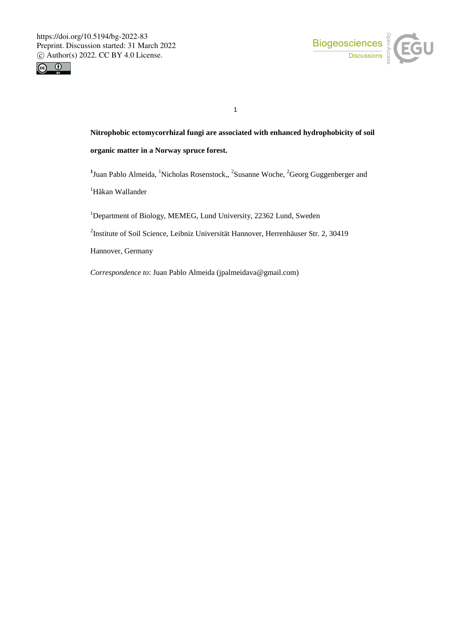



**Nitrophobic ectomycorrhizal fungi are associated with enhanced hydrophobicity of soil organic matter in a Norway spruce forest.**

<sup>1</sup> Juan Pablo Almeida, <sup>1</sup>Nicholas Rosenstock,, <sup>2</sup>Susanne Woche, <sup>2</sup>Georg Guggenberger and

<sup>1</sup>Håkan Wallander

<sup>1</sup>Department of Biology, MEMEG, Lund University, 22362 Lund, Sweden

2 Institute of Soil Science, Leibniz Universität Hannover, Herrenhäuser Str. 2, 30419

Hannover, Germany

*Correspondence to*: Juan Pablo Almeida (jpalmeidava@gmail.com)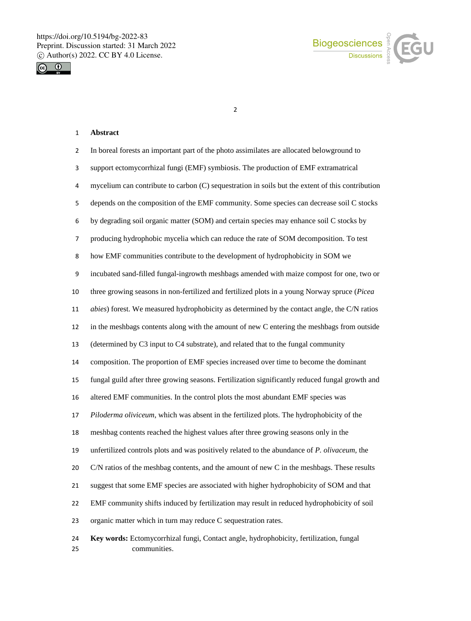



## **Abstract**

| 2              | In boreal forests an important part of the photo assimilates are allocated belowground to              |
|----------------|--------------------------------------------------------------------------------------------------------|
| 3              | support ectomycorrhizal fungi (EMF) symbiosis. The production of EMF extramatrical                     |
| 4              | mycelium can contribute to carbon (C) sequestration in soils but the extent of this contribution       |
| 5              | depends on the composition of the EMF community. Some species can decrease soil C stocks               |
| 6              | by degrading soil organic matter (SOM) and certain species may enhance soil C stocks by                |
| $\overline{7}$ | producing hydrophobic mycelia which can reduce the rate of SOM decomposition. To test                  |
| 8              | how EMF communities contribute to the development of hydrophobicity in SOM we                          |
| 9              | incubated sand-filled fungal-ingrowth meshbags amended with maize compost for one, two or              |
| 10             | three growing seasons in non-fertilized and fertilized plots in a young Norway spruce (Picea           |
| 11             | abies) forest. We measured hydrophobicity as determined by the contact angle, the C/N ratios           |
| 12             | in the meshbags contents along with the amount of new C entering the meshbags from outside             |
| 13             | (determined by C3 input to C4 substrate), and related that to the fungal community                     |
| 14             | composition. The proportion of EMF species increased over time to become the dominant                  |
| 15             | fungal guild after three growing seasons. Fertilization significantly reduced fungal growth and        |
| 16             | altered EMF communities. In the control plots the most abundant EMF species was                        |
| 17             | Piloderma oliviceum, which was absent in the fertilized plots. The hydrophobicity of the               |
| 18             | meshbag contents reached the highest values after three growing seasons only in the                    |
| 19             | unfertilized controls plots and was positively related to the abundance of P. olivaceum, the           |
| 20             | C/N ratios of the meshbag contents, and the amount of new C in the meshbags. These results             |
| 21             | suggest that some EMF species are associated with higher hydrophobicity of SOM and that                |
| 22             | EMF community shifts induced by fertilization may result in reduced hydrophobicity of soil             |
| 23             | organic matter which in turn may reduce C sequestration rates.                                         |
| 24<br>25       | Key words: Ectomycorrhizal fungi, Contact angle, hydrophobicity, fertilization, fungal<br>communities. |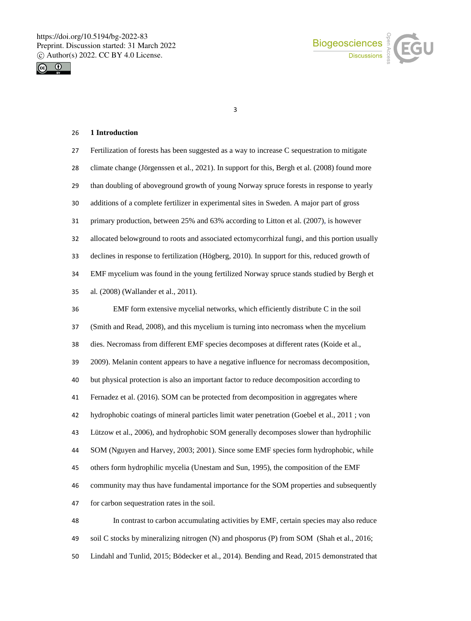



### **1 Introduction**

| 27 | Fertilization of forests has been suggested as a way to increase C sequestration to mitigate  |
|----|-----------------------------------------------------------------------------------------------|
| 28 | climate change (Jörgenssen et al., 2021). In support for this, Bergh et al. (2008) found more |
| 29 | than doubling of aboveground growth of young Norway spruce forests in response to yearly      |
| 30 | additions of a complete fertilizer in experimental sites in Sweden. A major part of gross     |
| 31 | primary production, between 25% and 63% according to Litton et al. (2007), is however         |
| 32 | allocated belowground to roots and associated ectomycorrhizal fungi, and this portion usually |
| 33 | declines in response to fertilization (Högberg, 2010). In support for this, reduced growth of |
| 34 | EMF mycelium was found in the young fertilized Norway spruce stands studied by Bergh et       |
| 35 | al. (2008) (Wallander et al., 2011).                                                          |
| 36 | EMF form extensive mycelial networks, which efficiently distribute C in the soil              |
| 37 | (Smith and Read, 2008), and this mycelium is turning into necromass when the mycelium         |
| 38 | dies. Necromass from different EMF species decomposes at different rates (Koide et al.,       |
| 39 | 2009). Melanin content appears to have a negative influence for necromass decomposition,      |
| 40 | but physical protection is also an important factor to reduce decomposition according to      |
| 41 | Fernadez et al. (2016). SOM can be protected from decomposition in aggregates where           |
| 42 | hydrophobic coatings of mineral particles limit water penetration (Goebel et al., 2011; von   |
| 43 | Lützow et al., 2006), and hydrophobic SOM generally decomposes slower than hydrophilic        |
| 44 | SOM (Nguyen and Harvey, 2003; 2001). Since some EMF species form hydrophobic, while           |
| 45 | others form hydrophilic mycelia (Unestam and Sun, 1995), the composition of the EMF           |
| 46 | community may thus have fundamental importance for the SOM properties and subsequently        |
| 47 | for carbon sequestration rates in the soil.                                                   |
| 48 | In contrast to carbon accumulating activities by EMF, certain species may also reduce         |
| 49 | soil C stocks by mineralizing nitrogen (N) and phosporus (P) from SOM (Shah et al., 2016;     |
|    |                                                                                               |

Lindahl and Tunlid, 2015; Bödecker et al., 2014). Bending and Read, 2015 demonstrated that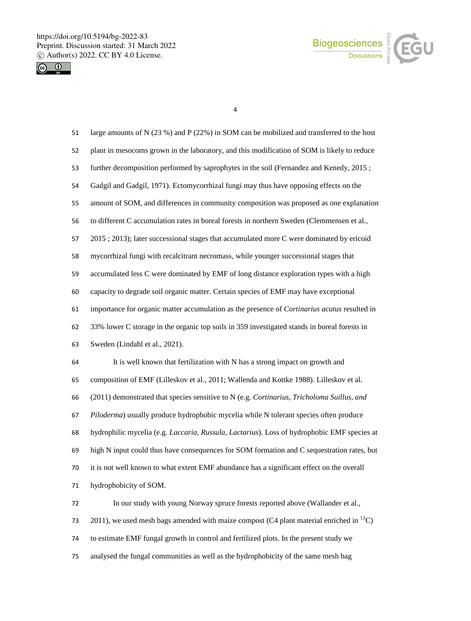



| 51 | large amounts of N (23 %) and P (22%) in SOM can be mobilized and transferred to the host           |
|----|-----------------------------------------------------------------------------------------------------|
| 52 | plant in mesocoms grown in the laboratory, and this modification of SOM is likely to reduce         |
| 53 | further decomposition performed by saprophytes in the soil (Fernandez and Kenedy, 2015;             |
| 54 | Gadgil and Gadgil, 1971). Ectomycorrhizal fungi may thus have opposing effects on the               |
| 55 | amount of SOM, and differences in community composition was proposed as one explanation             |
| 56 | to different C accumulation rates in boreal forests in northern Sweden (Clemmensen et al.,          |
| 57 | 2015 ; 2013); later successional stages that accumulated more C were dominated by ericoid           |
| 58 | mycorrhizal fungi with recalcitrant necromass, while younger successional stages that               |
| 59 | accumulated less C were dominated by EMF of long distance exploration types with a high             |
| 60 | capacity to degrade soil organic matter. Certain species of EMF may have exceptional                |
| 61 | importance for organic matter accumulation as the presence of Cortinarius acutus resulted in        |
| 62 | 33% lower C storage in the organic top soils in 359 investigated stands in boreal forests in        |
| 63 | Sweden (Lindahl et al., 2021).                                                                      |
| 64 | It is well known that fertilization with N has a strong impact on growth and                        |
| 65 | composition of EMF (Lilleskov et al., 2011; Wallenda and Kottke 1988). Lilleskov et al.             |
| 66 | (2011) demonstrated that species sensitive to N (e.g. Cortinarius, Tricholoma Suillus, and          |
| 67 | Piloderma) usually produce hydrophobic mycelia while N tolerant species often produce               |
| 68 | hydrophilic mycelia (e.g. <i>Laccaria, Russula, Lactarius</i> ). Loss of hydrophobic EMF species at |
| 69 | high N input could thus have consequences for SOM formation and C sequestration rates, but          |
| 70 | it is not well known to what extent EMF abundance has a significant effect on the overall           |
| 71 | hydrophobicity of SOM.                                                                              |
| 72 | In our study with young Norway spruce forests reported above (Wallander et al.,                     |
| 73 | 2011), we used mesh bags amended with maize compost (C4 plant material enriched in $^{13}$ C)       |
| 74 | to estimate EMF fungal growth in control and fertilized plots. In the present study we              |
| 75 | analysed the fungal communities as well as the hydrophobicity of the same mesh bag                  |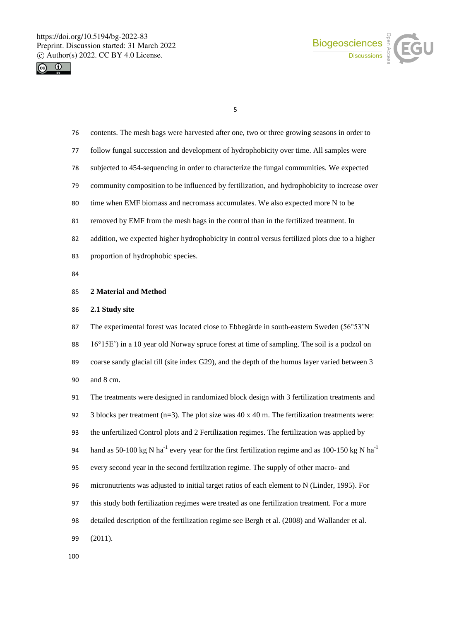



| 76 | contents. The mesh bags were harvested after one, two or three growing seasons in order to                              |
|----|-------------------------------------------------------------------------------------------------------------------------|
| 77 | follow fungal succession and development of hydrophobicity over time. All samples were                                  |
| 78 | subjected to 454-sequencing in order to characterize the fungal communities. We expected                                |
| 79 | community composition to be influenced by fertilization, and hydrophobicity to increase over                            |
| 80 | time when EMF biomass and necromass accumulates. We also expected more N to be                                          |
| 81 | removed by EMF from the mesh bags in the control than in the fertilized treatment. In                                   |
| 82 | addition, we expected higher hydrophobicity in control versus fertilized plots due to a higher                          |
| 83 | proportion of hydrophobic species.                                                                                      |
| 84 |                                                                                                                         |
| 85 | 2 Material and Method                                                                                                   |
| 86 | 2.1 Study site                                                                                                          |
| 87 | The experimental forest was located close to Ebbegärde in south-eastern Sweden (56°53'N                                 |
| 88 | 16°15E') in a 10 year old Norway spruce forest at time of sampling. The soil is a podzol on                             |
| 89 | coarse sandy glacial till (site index G29), and the depth of the humus layer varied between 3                           |
| 90 | and 8 cm.                                                                                                               |
| 91 | The treatments were designed in randomized block design with 3 fertilization treatments and                             |
| 92 | 3 blocks per treatment ( $n=3$ ). The plot size was 40 x 40 m. The fertilization treatments were:                       |
| 93 | the unfertilized Control plots and 2 Fertilization regimes. The fertilization was applied by                            |
| 94 | hand as 50-100 kg N ha <sup>-1</sup> every year for the first fertilization regime and as 100-150 kg N ha <sup>-1</sup> |
| 95 | every second year in the second fertilization regime. The supply of other macro- and                                    |
| 96 | micronutrients was adjusted to initial target ratios of each element to N (Linder, 1995). For                           |
| 97 | this study both fertilization regimes were treated as one fertilization treatment. For a more                           |
| 98 | detailed description of the fertilization regime see Bergh et al. (2008) and Wallander et al.                           |
| 99 | (2011).                                                                                                                 |
|    |                                                                                                                         |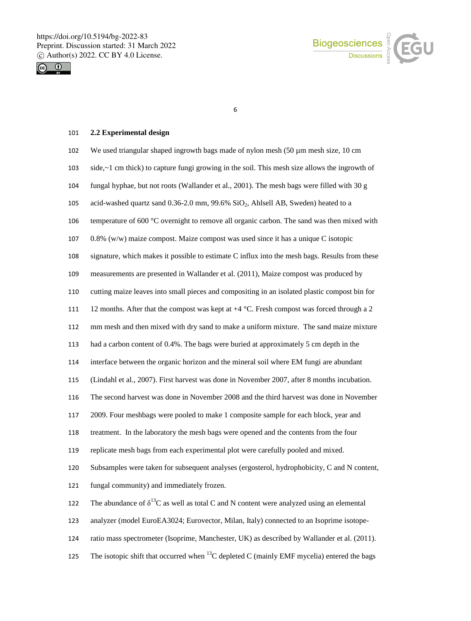



# **2.2 Experimental design**

| 102 | We used triangular shaped ingrowth bags made of nylon mesh (50 µm mesh size, 10 cm                |
|-----|---------------------------------------------------------------------------------------------------|
| 103 | side,~1 cm thick) to capture fungi growing in the soil. This mesh size allows the ingrowth of     |
| 104 | fungal hyphae, but not roots (Wallander et al., 2001). The mesh bags were filled with 30 g        |
| 105 | acid-washed quartz sand 0.36-2.0 mm, 99.6% SiO <sub>2</sub> , Ahlsell AB, Sweden) heated to a     |
| 106 | temperature of 600 °C overnight to remove all organic carbon. The sand was then mixed with        |
| 107 | $0.8\%$ (w/w) maize compost. Maize compost was used since it has a unique C isotopic              |
| 108 | signature, which makes it possible to estimate C influx into the mesh bags. Results from these    |
| 109 | measurements are presented in Wallander et al. (2011), Maize compost was produced by              |
| 110 | cutting maize leaves into small pieces and compositing in an isolated plastic compost bin for     |
| 111 | 12 months. After that the compost was kept at $+4$ °C. Fresh compost was forced through a 2       |
| 112 | mm mesh and then mixed with dry sand to make a uniform mixture. The sand maize mixture            |
| 113 | had a carbon content of 0.4%. The bags were buried at approximately 5 cm depth in the             |
| 114 | interface between the organic horizon and the mineral soil where EM fungi are abundant            |
| 115 | (Lindahl et al., 2007). First harvest was done in November 2007, after 8 months incubation.       |
| 116 | The second harvest was done in November 2008 and the third harvest was done in November           |
| 117 | 2009. Four meshbags were pooled to make 1 composite sample for each block, year and               |
| 118 | treatment. In the laboratory the mesh bags were opened and the contents from the four             |
| 119 | replicate mesh bags from each experimental plot were carefully pooled and mixed.                  |
| 120 | Subsamples were taken for subsequent analyses (ergosterol, hydrophobicity, C and N content,       |
| 121 | fungal community) and immediately frozen.                                                         |
| 122 | The abundance of $\delta^{13}C$ as well as total C and N content were analyzed using an elemental |
| 123 | analyzer (model EuroEA3024; Eurovector, Milan, Italy) connected to an Isoprime isotope-           |
| 124 | ratio mass spectrometer (Isoprime, Manchester, UK) as described by Wallander et al. (2011).       |
| 125 | The isotopic shift that occurred when $^{13}$ C depleted C (mainly EMF mycelia) entered the bags  |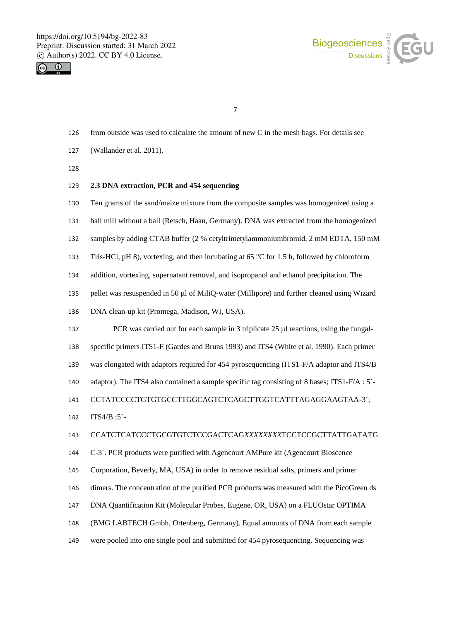



- from outside was used to calculate the amount of new C in the mesh bags. For details see
- (Wallander et al. 2011).

## **2.3 DNA extraction, PCR and 454 sequencing**

Ten grams of the sand/maize mixture from the composite samples was homogenized using a

- ball mill without a ball (Retsch, Haan, Germany). DNA was extracted from the homogenized
- samples by adding CTAB buffer (2 % cetyltrimetylammoniumbromid, 2 mM EDTA, 150 mM

133 Tris-HCl, pH 8), vortexing, and then incubating at 65  $\degree$ C for 1.5 h, followed by chloroform

- addition, vortexing, supernatant removal, and isopropanol and ethanol precipitation. The
- 135 pellet was resuspended in 50 µl of MiliQ-water (Millipore) and further cleaned using Wizard
- DNA clean-up kit (Promega, Madison, WI, USA).

137 PCR was carried out for each sample in 3 triplicate 25 µl reactions, using the fungal- specific primers ITS1-F (Gardes and Bruns 1993) and ITS4 (White et al. 1990). Each primer was elongated with adaptors required for 454 pyrosequencing (ITS1-F/A adaptor and ITS4/B adaptor). The ITS4 also contained a sample specific tag consisting of 8 bases; ITS1-F/A : 5´- CCTATCCCCTGTGTGCCTTGGCAGTCTCAGCTTGGTCATTTAGAGGAAGTAA-3´;

ITS4/B :5´-

#### CCATCTCATCCCTGCGTGTCTCCGACTCAG*XXXXXXXX*TCCTCCGCTTATTGATATG

- C-3´. PCR products were purified with Agencourt AMPure kit (Agencourt Bioscence
- Corporation, Beverly, MA, USA) in order to remove residual salts, primers and primer
- dimers. The concentration of the purified PCR products was measured with the PicoGreen ds
- DNA Quantification Kit (Molecular Probes, Eugene, OR, USA) on a FLUOstar OPTIMA
- (BMG LABTECH Gmbh, Ortenberg, Germany). Equal amounts of DNA from each sample
- were pooled into one single pool and submitted for 454 pyrosequencing. Sequencing was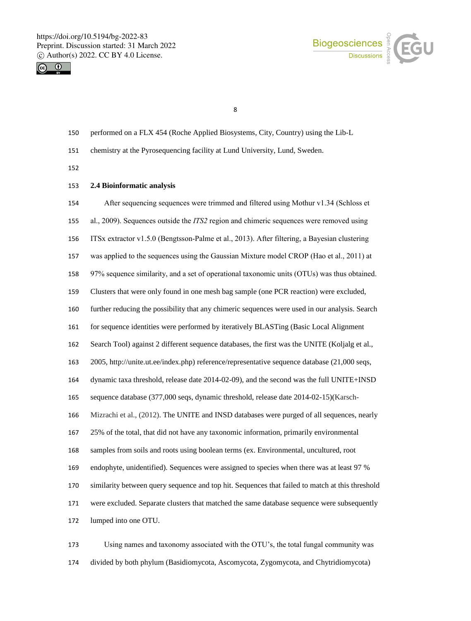



- performed on a FLX 454 (Roche Applied Biosystems, City, Country) using the Lib-L
- chemistry at the Pyrosequencing facility at Lund University, Lund, Sweden.
- 

## **2.4 Bioinformatic analysis**

 After sequencing sequences were trimmed and filtered using Mothur v1.34 (Schloss et al., 2009). Sequences outside the *ITS2* region and chimeric sequences were removed using ITSx extractor v1.5.0 (Bengtsson-Palme et al., 2013). After filtering, a Bayesian clustering was applied to the sequences using the Gaussian Mixture model CROP (Hao et al., 2011) at 97% sequence similarity, and a set of operational taxonomic units (OTUs) was thus obtained. Clusters that were only found in one mesh bag sample (one PCR reaction) were excluded, further reducing the possibility that any chimeric sequences were used in our analysis. Search for sequence identities were performed by iteratively BLASTing (Basic Local Alignment Search Tool) against 2 different sequence databases, the first was the UNITE (Koljalg et al., 2005, http://unite.ut.ee/index.php) reference/representative sequence database (21,000 seqs, dynamic taxa threshold, release date 2014-02-09), and the second was the full UNITE+INSD sequence database (377,000 seqs, dynamic threshold, release date 2014-02-15)(Karsch- Mizrachi et al., (2012). The UNITE and INSD databases were purged of all sequences, nearly 25% of the total, that did not have any taxonomic information, primarily environmental samples from soils and roots using boolean terms (ex. Environmental, uncultured, root endophyte, unidentified). Sequences were assigned to species when there was at least 97 % similarity between query sequence and top hit. Sequences that failed to match at this threshold were excluded. Separate clusters that matched the same database sequence were subsequently lumped into one OTU.

 Using names and taxonomy associated with the OTU's, the total fungal community was divided by both phylum (Basidiomycota, Ascomycota, Zygomycota, and Chytridiomycota)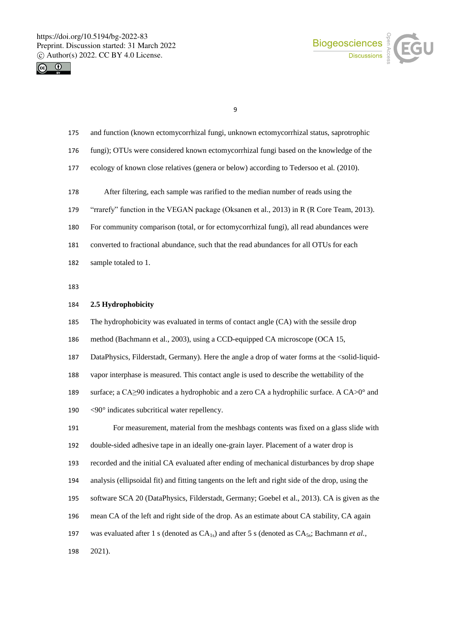



- and function (known ectomycorrhizal fungi, unknown ectomycorrhizal status, saprotrophic
- fungi); OTUs were considered known ectomycorrhizal fungi based on the knowledge of the
- ecology of known close relatives (genera or below) according to Tedersoo et al*.* (2010).
- After filtering, each sample was rarified to the median number of reads using the
- "rrarefy" function in the VEGAN package (Oksanen et al., 2013) in R (R Core Team, 2013).
- For community comparison (total, or for ectomycorrhizal fungi), all read abundances were
- converted to fractional abundance, such that the read abundances for all OTUs for each
- sample totaled to 1.

#### **2.5 Hydrophobicity**

- The hydrophobicity was evaluated in terms of contact angle (CA) with the sessile drop
- method (Bachmann et al., 2003), using a CCD-equipped CA microscope (OCA 15,
- DataPhysics, Filderstadt, Germany). Here the angle a drop of water forms at the <solid-liquid-
- vapor interphase is measured. This contact angle is used to describe the wettability of the
- surface; a CA≥90 indicates a hydrophobic and a zero CA a hydrophilic surface. A CA>0° and
- <90° indicates subcritical water repellency.

 For measurement, material from the meshbags contents was fixed on a glass slide with double-sided adhesive tape in an ideally one-grain layer. Placement of a water drop is

- 
- recorded and the initial CA evaluated after ending of mechanical disturbances by drop shape
- analysis (ellipsoidal fit) and fitting tangents on the left and right side of the drop, using the
- software SCA 20 (DataPhysics, Filderstadt, Germany; Goebel et al., 2013). CA is given as the
- mean CA of the left and right side of the drop. As an estimate about CA stability, CA again
- 197 was evaluated after 1 s (denoted as  $CA<sub>1s</sub>$ ) and after 5 s (denoted as  $CA<sub>5s</sub>$ ; Bachmann *et al.*,

2021).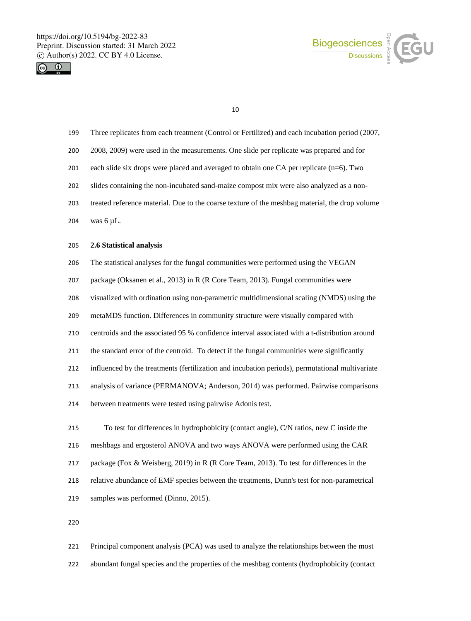



- Three replicates from each treatment (Control or Fertilized) and each incubation period (2007,
- 2008, 2009) were used in the measurements. One slide per replicate was prepared and for
- each slide six drops were placed and averaged to obtain one CA per replicate (n=6). Two
- slides containing the non-incubated sand-maize compost mix were also analyzed as a non-
- treated reference material. Due to the coarse texture of the meshbag material, the drop volume
- was 6 µL.

### **2.6 Statistical analysis**

- The statistical analyses for the fungal communities were performed using the VEGAN
- package (Oksanen et al., 2013) in R (R Core Team, 2013). Fungal communities were
- visualized with ordination using non-parametric multidimensional scaling (NMDS) using the
- metaMDS function. Differences in community structure were visually compared with
- centroids and the associated 95 % confidence interval associated with a t-distribution around
- the standard error of the centroid. To detect if the fungal communities were significantly
- influenced by the treatments (fertilization and incubation periods), permutational multivariate
- analysis of variance (PERMANOVA; Anderson, 2014) was performed. Pairwise comparisons
- between treatments were tested using pairwise Adonis test.
- To test for differences in hydrophobicity (contact angle), C/N ratios, new C inside the meshbags and ergosterol ANOVA and two ways ANOVA were performed using the CAR package (Fox & Weisberg, 2019) in R (R Core Team, 2013). To test for differences in the relative abundance of EMF species between the treatments, Dunn's test for non-parametrical samples was performed (Dinno, 2015).

 Principal component analysis (PCA) was used to analyze the relationships between the most abundant fungal species and the properties of the meshbag contents (hydrophobicity (contact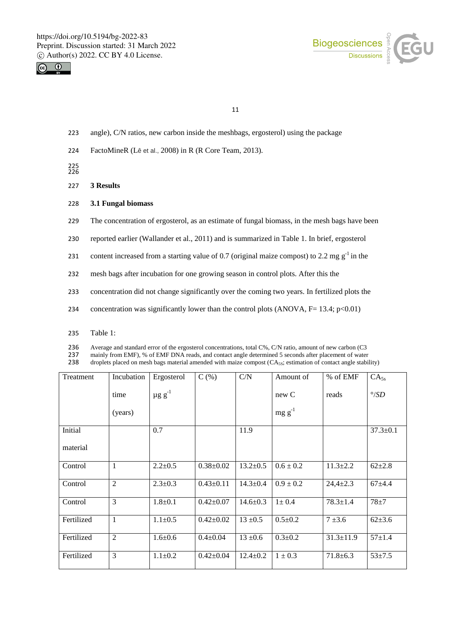



- 223 angle), C/N ratios, new carbon inside the meshbags, ergosterol) using the package
- 224 FactoMineR (Lê et al., 2008) in R (R Core Team, 2013).

225 226

- 227 **3 Results**
- 228 **3.1 Fungal biomass**
- 229 The concentration of ergosterol, as an estimate of fungal biomass, in the mesh bags have been
- 230 reported earlier (Wallander et al., 2011) and is summarized in Table 1. In brief, ergosterol
- 231 content increased from a starting value of 0.7 (original maize compost) to 2.2 mg  $g^{-1}$  in the
- 232 mesh bags after incubation for one growing season in control plots. After this the
- 233 concentration did not change significantly over the coming two years. In fertilized plots the
- 234 concentration was significantly lower than the control plots  $(ANOVA, F= 13.4; p<0.01)$
- 235 Table 1:

236 Average and standard error of the ergosterol concentrations, total C%, C/N ratio, amount of new carbon (C3<br>237 mainly from EMF). % of EMF DNA reads, and contact angle determined 5 seconds after placement of water

237 mainly from EMF), % of EMF DNA reads, and contact angle determined 5 seconds after placement of water<br>238 droplets placed on mesh bags material amended with maize compost (CA<sub>5S</sub>; estimation of contact angle stabil

droplets placed on mesh bags material amended with maize compost  $(CA_{5S};$  estimation of contact angle stability)

| Treatment  | Incubation     | Ergosterol        | C(%)            | C/N            | Amount of     | $%$ of EMF      | CA <sub>5s</sub> |
|------------|----------------|-------------------|-----------------|----------------|---------------|-----------------|------------------|
|            | time           | $\mu$ g g $^{-1}$ |                 |                | new C         | reads           | $\degree$ /SD    |
|            | (years)        |                   |                 |                | $mg g^{-1}$   |                 |                  |
| Initial    |                | 0.7               |                 | 11.9           |               |                 | $37.3 \pm 0.1$   |
| material   |                |                   |                 |                |               |                 |                  |
| Control    | 1              | $2.2 \pm 0.5$     | $0.38 \pm 0.02$ | $13.2 \pm 0.5$ | $0.6 \pm 0.2$ | $11.3 \pm 2.2$  | $62{\pm}2.8$     |
| Control    | $\overline{2}$ | $2.3 \pm 0.3$     | $0.43 \pm 0.11$ | $14.3 \pm 0.4$ | $0.9 \pm 0.2$ | $24,4 \pm 2.3$  | $67+4.4$         |
| Control    | 3              | $1.8 + 0.1$       | $0.42 \pm 0.07$ | $14.6 \pm 0.3$ | $1 \pm 0.4$   | $78.3 \pm 1.4$  | $78 \pm 7$       |
| Fertilized | $\mathbf{1}$   | $1.1 \pm 0.5$     | $0.42 \pm 0.02$ | $13 \pm 0.5$   | $0.5 \pm 0.2$ | $7 + 3.6$       | $62{\pm}3.6$     |
| Fertilized | $\mathfrak{2}$ | $1.6 \pm 0.6$     | $0.4 \pm 0.04$  | $13 \pm 0.6$   | $0.3 \pm 0.2$ | $31.3 \pm 11.9$ | $57+1.4$         |
| Fertilized | 3              | $1.1 \pm 0.2$     | $0.42 \pm 0.04$ | $12.4 \pm 0.2$ | $1 \pm 0.3$   | $71.8 \pm 6.3$  | $53 + 7.5$       |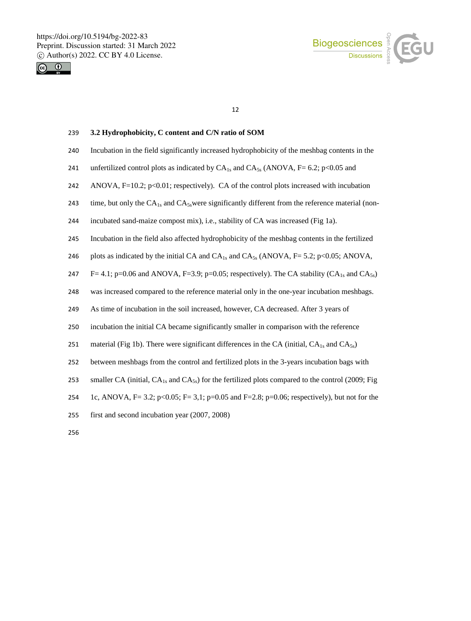



## 239 **3.2 Hydrophobicity, C content and C/N ratio of SOM**

- 240 Incubation in the field significantly increased hydrophobicity of the meshbag contents in the
- 241 unfertilized control plots as indicated by  $CA_{1s}$  and  $CA_{5s}$  (ANOVA, F= 6.2; p<0.05 and
- 242 ANOVA, F=10.2; p<0.01; respectively). CA of the control plots increased with incubation
- 243 time, but only the  $CA_{1s}$  and  $CA_{5s}$  were significantly different from the reference material (non-
- 244 incubated sand-maize compost mix), i.e., stability of CA was increased (Fig 1a).
- 245 Incubation in the field also affected hydrophobicity of the meshbag contents in the fertilized
- 246 plots as indicated by the initial CA and  $CA_{1s}$  and  $CA_{5s}$  (ANOVA,  $F = 5.2$ ; p<0.05; ANOVA,
- 247 F= 4.1; p=0.06 and ANOVA, F=3.9; p=0.05; respectively). The CA stability  $(CA_{1s}$  and  $CA_{5s})$
- 248 was increased compared to the reference material only in the one-year incubation meshbags.
- 249 As time of incubation in the soil increased, however, CA decreased. After 3 years of
- 250 incubation the initial CA became significantly smaller in comparison with the reference
- 251 material (Fig 1b). There were significant differences in the CA (initial,  $CA<sub>1s</sub>$  and  $CA<sub>5s</sub>$ )
- 252 between meshbags from the control and fertilized plots in the 3-years incubation bags with
- 253 smaller CA (initial,  $CA_{1s}$  and  $CA_{5s}$ ) for the fertilized plots compared to the control (2009; Fig.
- 254 1c, ANOVA, F= 3.2; p<0.05; F= 3,1; p=0.05 and F=2.8; p=0.06; respectively), but not for the
- 255 first and second incubation year (2007, 2008)
- 256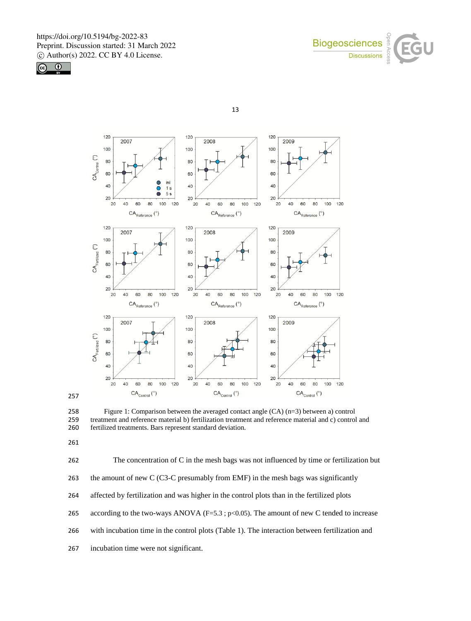





 Figure 1: Comparison between the averaged contact angle (CA) (n=3) between a) control treatment and reference material b) fertilization treatment and reference material and c) control and fertilized treatments. Bars represent standard deviation.

 The concentration of C in the mesh bags was not influenced by time or fertilization but the amount of new C (C3-C presumably from EMF) in the mesh bags was significantly affected by fertilization and was higher in the control plots than in the fertilized plots 265 according to the two-ways ANOVA (F=5.3 ; p<0.05). The amount of new C tended to increase with incubation time in the control plots (Table 1). The interaction between fertilization and incubation time were not significant.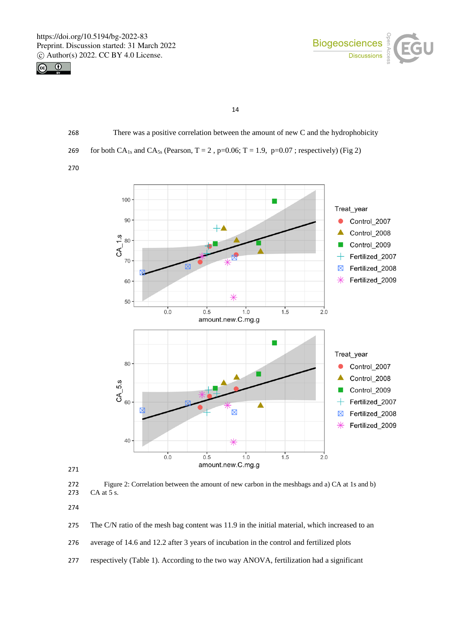



14

268 There was a positive correlation between the amount of new C and the hydrophobicity 269 for both CA<sub>1s</sub> and CA<sub>5s</sub> (Pearson, T = 2, p=0.06; T = 1.9, p=0.07; respectively) (Fig 2)

270



271

272 Figure 2: Correlation between the amount of new carbon in the meshbags and a) CA at 1s and b)<br>273 CA at 5 s. CA at 5 s.

274

275 The C/N ratio of the mesh bag content was 11.9 in the initial material, which increased to an

276 average of 14.6 and 12.2 after 3 years of incubation in the control and fertilized plots

277 respectively (Table 1). According to the two way ANOVA, fertilization had a significant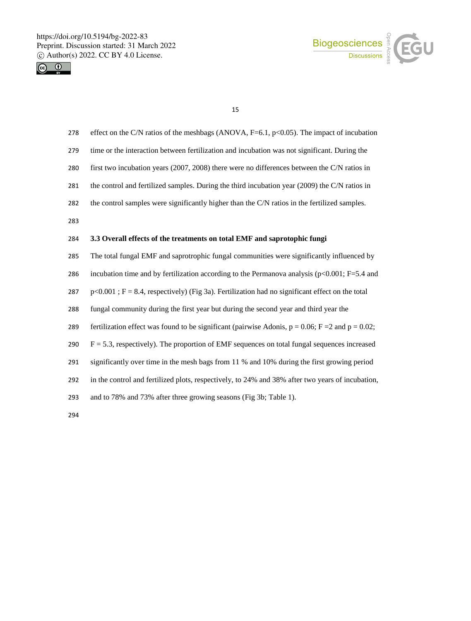



| 278 | effect on the C/N ratios of the meshbags (ANOVA, $F=6.1$ , $p<0.05$ ). The impact of incubation          |
|-----|----------------------------------------------------------------------------------------------------------|
| 279 | time or the interaction between fertilization and incubation was not significant. During the             |
| 280 | first two incubation years (2007, 2008) there were no differences between the C/N ratios in              |
| 281 | the control and fertilized samples. During the third incubation year (2009) the C/N ratios in            |
| 282 | the control samples were significantly higher than the C/N ratios in the fertilized samples.             |
| 283 |                                                                                                          |
| 284 | 3.3 Overall effects of the treatments on total EMF and saprotophic fungi                                 |
| 285 | The total fungal EMF and saprotrophic fungal communities were significantly influenced by                |
| 286 | incubation time and by fertilization according to the Permanova analysis ( $p<0.001$ ; F=5.4 and         |
| 287 | $p<0.001$ ; F = 8.4, respectively) (Fig 3a). Fertilization had no significant effect on the total        |
| 288 | fungal community during the first year but during the second year and third year the                     |
| 289 | fertilization effect was found to be significant (pairwise Adonis, $p = 0.06$ ; $F = 2$ and $p = 0.02$ ; |
| 290 | $F = 5.3$ , respectively). The proportion of EMF sequences on total fungal sequences increased           |
| 291 | significantly over time in the mesh bags from 11 % and 10% during the first growing period               |
| 292 | in the control and fertilized plots, respectively, to 24% and 38% after two years of incubation,         |
| 293 | and to 78% and 73% after three growing seasons (Fig 3b; Table 1).                                        |
| 294 |                                                                                                          |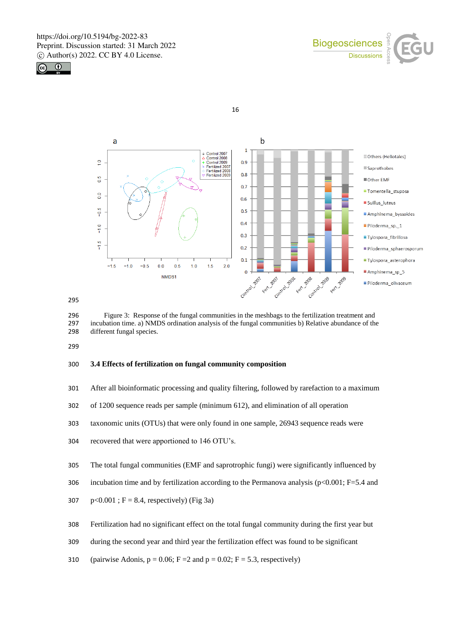







295

296 Figure 3: Response of the fungal communities in the meshbags to the fertilization treatment and 297 incubation time. a) NMDS ordination analysis of the fungal communities b) Relative abundance of the incubation time. a) NMDS ordination analysis of the fungal communities b) Relative abundance of the 298 different fungal species.

299

#### 300 **3.4 Effects of fertilization on fungal community composition**

- 301 After all bioinformatic processing and quality filtering, followed by rarefaction to a maximum
- 302 of 1200 sequence reads per sample (minimum 612), and elimination of all operation
- 303 taxonomic units (OTUs) that were only found in one sample, 26943 sequence reads were
- 304 recovered that were apportioned to 146 OTU's.
- 305 The total fungal communities (EMF and saprotrophic fungi) were significantly influenced by
- 306 incubation time and by fertilization according to the Permanova analysis ( $p<0.001$ ; F=5.4 and
- 307  $p<0.001$ ; F = 8.4, respectively) (Fig 3a)
- 308 Fertilization had no significant effect on the total fungal community during the first year but
- 309 during the second year and third year the fertilization effect was found to be significant
- 310 (pairwise Adonis,  $p = 0.06$ ;  $F = 2$  and  $p = 0.02$ ;  $F = 5.3$ , respectively)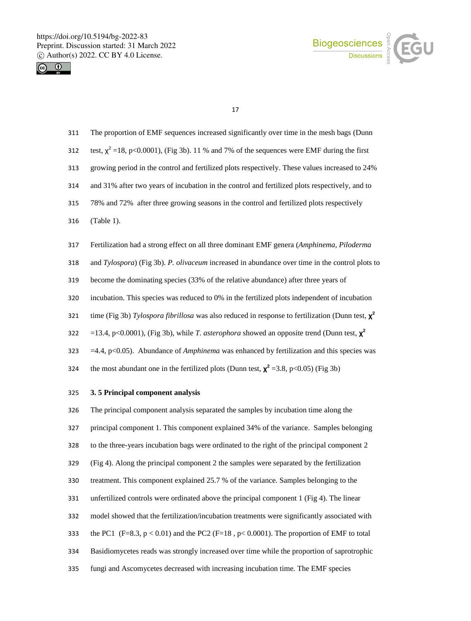



- The proportion of EMF sequences increased significantly over time in the mesh bags (Dunn
- 312 test,  $\chi^2$  =18, p<0.0001), (Fig 3b). 11 % and 7% of the sequences were EMF during the first
- growing period in the control and fertilized plots respectively. These values increased to 24%
- and 31% after two years of incubation in the control and fertilized plots respectively, and to
- 78% and 72% after three growing seasons in the control and fertilized plots respectively
- (Table 1).
- Fertilization had a strong effect on all three dominant EMF genera (*Amphinema, Piloderma*
- and *Tylospora*) (Fig 3b). *P. olivaceum* increased in abundance over time in the control plots to
- become the dominating species (33% of the relative abundance) after three years of
- incubation. This species was reduced to 0% in the fertilized plots independent of incubation
- time (Fig 3b) *Tylospora fibrillosa* was also reduced in response to fertilization (Dunn test, **χ <sup>2</sup>**
- =13.4, p<0.0001), (Fig 3b), while *T. asterophora* showed an opposite trend (Dunn test, **χ <sup>2</sup>**
- =4.4, p<0.05). Abundance of *Amphinema* was enhanced by fertilization and this species was
- the most abundant one in the fertilized plots (Dunn test,  $\chi^2$  =3.8, p<0.05) (Fig 3b)

## **3. 5 Principal component analysis**

 The principal component analysis separated the samples by incubation time along the principal component 1. This component explained 34% of the variance. Samples belonging to the three-years incubation bags were ordinated to the right of the principal component 2 (Fig 4). Along the principal component 2 the samples were separated by the fertilization treatment. This component explained 25.7 % of the variance. Samples belonging to the unfertilized controls were ordinated above the principal component 1 (Fig 4). The linear model showed that the fertilization/incubation treatments were significantly associated with 333 the PC1 (F=8.3,  $p < 0.01$ ) and the PC2 (F=18,  $p < 0.0001$ ). The proportion of EMF to total Basidiomycetes reads was strongly increased over time while the proportion of saprotrophic fungi and Ascomycetes decreased with increasing incubation time. The EMF species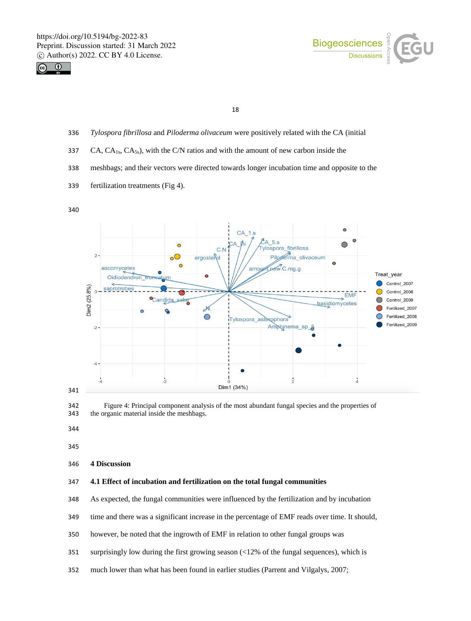



- *Tylospora fibrillosa* and *Piloderma olivaceum* were positively related with the CA (initial
- 337 CA,  $CA<sub>1s</sub>, CA<sub>5s</sub>$ , with the C/N ratios and with the amount of new carbon inside the
- meshbags; and their vectors were directed towards longer incubation time and opposite to the
- fertilization treatments (Fig 4).





**4 Discussion**

## **4.1 Effect of incubation and fertilization on the total fungal communities**

- As expected, the fungal communities were influenced by the fertilization and by incubation
- time and there was a significant increase in the percentage of EMF reads over time. It should,
- however, be noted that the ingrowth of EMF in relation to other fungal groups was
- surprisingly low during the first growing season (<12% of the fungal sequences), which is
- much lower than what has been found in earlier studies (Parrent and Vilgalys, 2007;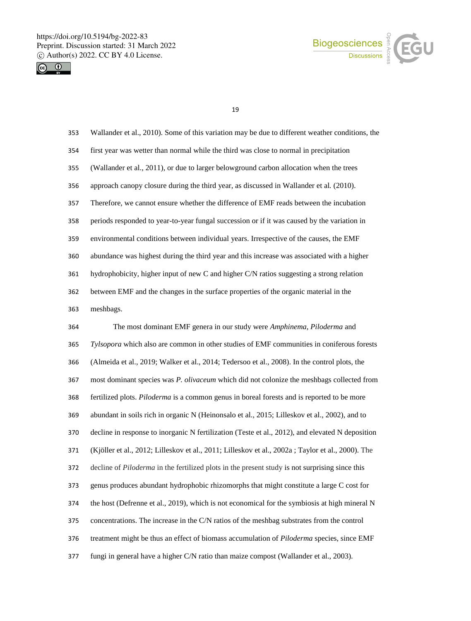



 Wallander et al., 2010). Some of this variation may be due to different weather conditions, the first year was wetter than normal while the third was close to normal in precipitation (Wallander et al., 2011), or due to larger belowground carbon allocation when the trees approach canopy closure during the third year, as discussed in Wallander et al*.* (2010). Therefore, we cannot ensure whether the difference of EMF reads between the incubation periods responded to year-to-year fungal succession or if it was caused by the variation in environmental conditions between individual years. Irrespective of the causes, the EMF abundance was highest during the third year and this increase was associated with a higher hydrophobicity, higher input of new C and higher C/N ratios suggesting a strong relation between EMF and the changes in the surface properties of the organic material in the meshbags. The most dominant EMF genera in our study were *Amphinema, Piloderma* and *Tylsopora* which also are common in other studies of EMF communities in coniferous forests (Almeida et al., 2019; Walker et al., 2014; Tedersoo et al., 2008). In the control plots, the most dominant species was *P. olivaceum* which did not colonize the meshbags collected from fertilized plots. *Piloderma* is a common genus in boreal forests and is reported to be more abundant in soils rich in organic N (Heinonsalo et al., 2015; Lilleskov et al., 2002), and to

decline in response to inorganic N fertilization (Teste et al., 2012), and elevated N deposition

(Kjöller et al., 2012; Lilleskov et al., 2011; Lilleskov et al., 2002a ; Taylor et al., 2000). The

decline of *Piloderma* in the fertilized plots in the present study is not surprising since this

genus produces abundant hydrophobic rhizomorphs that might constitute a large C cost for

the host (Defrenne et al., 2019), which is not economical for the symbiosis at high mineral N

concentrations. The increase in the C/N ratios of the meshbag substrates from the control

treatment might be thus an effect of biomass accumulation of *Piloderma* species, since EMF

fungi in general have a higher C/N ratio than maize compost (Wallander et al., 2003).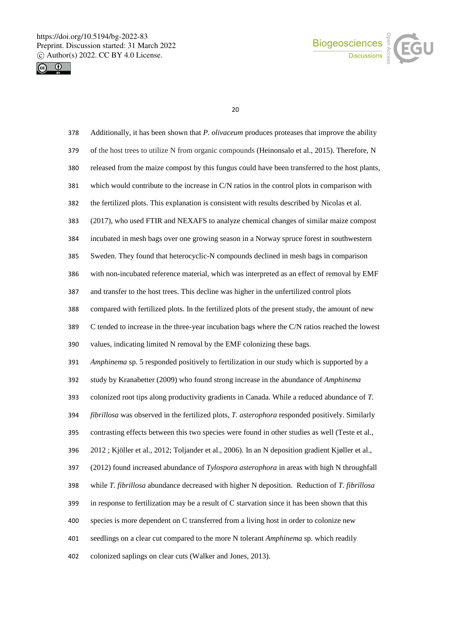



| 378 | Additionally, it has been shown that P. olivaceum produces proteases that improve the ability    |
|-----|--------------------------------------------------------------------------------------------------|
| 379 | of the host trees to utilize N from organic compounds (Heinonsalo et al., 2015). Therefore, N    |
| 380 | released from the maize compost by this fungus could have been transferred to the host plants,   |
| 381 | which would contribute to the increase in C/N ratios in the control plots in comparison with     |
| 382 | the fertilized plots. This explanation is consistent with results described by Nicolas et al.    |
| 383 | (2017), who used FTIR and NEXAFS to analyze chemical changes of similar maize compost            |
| 384 | incubated in mesh bags over one growing season in a Norway spruce forest in southwestern         |
| 385 | Sweden. They found that heterocyclic-N compounds declined in mesh bags in comparison             |
| 386 | with non-incubated reference material, which was interpreted as an effect of removal by EMF      |
| 387 | and transfer to the host trees. This decline was higher in the unfertilized control plots        |
| 388 | compared with fertilized plots. In the fertilized plots of the present study, the amount of new  |
| 389 | C tended to increase in the three-year incubation bags where the C/N ratios reached the lowest   |
| 390 | values, indicating limited N removal by the EMF colonizing these bags.                           |
| 391 | Amphinema sp. 5 responded positively to fertilization in our study which is supported by a       |
| 392 | study by Kranabetter (2009) who found strong increase in the abundance of Amphinema              |
| 393 | colonized root tips along productivity gradients in Canada. While a reduced abundance of T.      |
| 394 | fibrillosa was observed in the fertilized plots, T. asterophora responded positively. Similarly  |
| 395 | contrasting effects between this two species were found in other studies as well (Teste et al.,  |
| 396 | 2012; Kjöller et al., 2012; Toljander et al., 2006). In an N deposition gradient Kjøller et al., |
| 397 | (2012) found increased abundance of Tylospora asterophora in areas with high N throughfall       |
| 398 | while T. fibrillosa abundance decreased with higher N deposition. Reduction of T. fibrillosa     |
| 399 | in response to fertilization may be a result of C starvation since it has been shown that this   |
| 400 | species is more dependent on C transferred from a living host in order to colonize new           |
| 401 | seedlings on a clear cut compared to the more N tolerant Amphinema sp. which readily             |
| 402 | colonized saplings on clear cuts (Walker and Jones, 2013).                                       |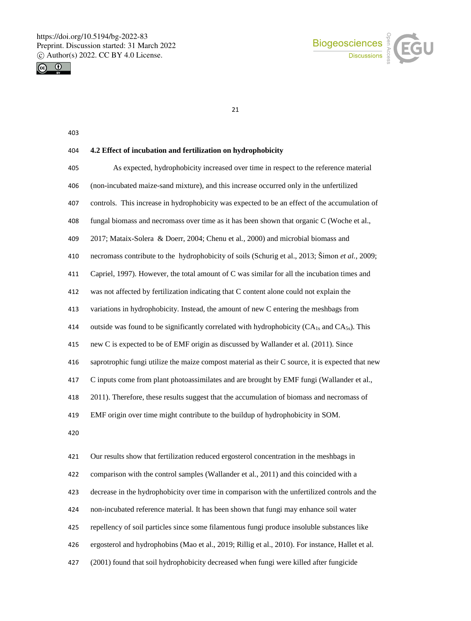



#### 

## **4.2 Effect of incubation and fertilization on hydrophobicity**

 As expected, hydrophobicity increased over time in respect to the reference material (non-incubated maize-sand mixture), and this increase occurred only in the unfertilized controls. This increase in hydrophobicity was expected to be an effect of the accumulation of fungal biomass and necromass over time as it has been shown that organic C (Woche et al., 2017; Mataix-Solera & Doerr, 2004; Chenu et al*.,* 2000) and microbial biomass and necromass contribute to the hydrophobicity of soils (Schurig et al., 2013; Šimon *et al.,* 2009; Capriel, 1997). However, the total amount of C was similar for all the incubation times and was not affected by fertilization indicating that C content alone could not explain the variations in hydrophobicity. Instead, the amount of new C entering the meshbags from 414 outside was found to be significantly correlated with hydrophobicity  $(CA_{1s}$  and  $CA_{5s})$ . This new C is expected to be of EMF origin as discussed by Wallander et al*.* (2011). Since saprotrophic fungi utilize the maize compost material as their C source, it is expected that new C inputs come from plant photoassimilates and are brought by EMF fungi (Wallander et al., 2011). Therefore, these results suggest that the accumulation of biomass and necromass of EMF origin over time might contribute to the buildup of hydrophobicity in SOM. Our results show that fertilization reduced ergosterol concentration in the meshbags in comparison with the control samples (Wallander et al., 2011) and this coincided with a

decrease in the hydrophobicity over time in comparison with the unfertilized controls and the

non-incubated reference material. It has been shown that fungi may enhance soil water

repellency of soil particles since some filamentous fungi produce insoluble substances like

ergosterol and hydrophobins (Mao et al., 2019; Rillig et al., 2010). For instance, Hallet et al.

(2001) found that soil hydrophobicity decreased when fungi were killed after fungicide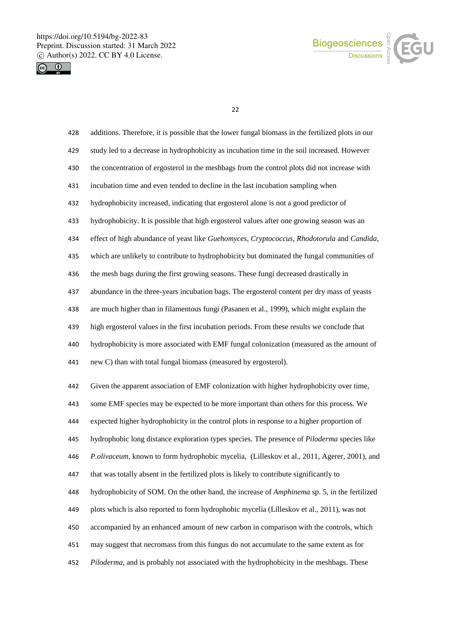



| 428 | additions. Therefore, it is possible that the lower fungal biomass in the fertilized plots in our   |
|-----|-----------------------------------------------------------------------------------------------------|
| 429 | study led to a decrease in hydrophobicity as incubation time in the soil increased. However         |
| 430 | the concentration of ergosterol in the meshbags from the control plots did not increase with        |
| 431 | incubation time and even tended to decline in the last incubation sampling when                     |
| 432 | hydrophobicity increased, indicating that ergosterol alone is not a good predictor of               |
| 433 | hydrophobicity. It is possible that high ergosterol values after one growing season was an          |
| 434 | effect of high abundance of yeast like Guehomyces, Cryptococcus, Rhodotorula and Candida,           |
| 435 | which are unlikely to contribute to hydrophobicity but dominated the fungal communities of          |
| 436 | the mesh bags during the first growing seasons. These fungi decreased drastically in                |
| 437 | abundance in the three-years incubation bags. The ergosterol content per dry mass of yeasts         |
| 438 | are much higher than in filamentous fungi (Pasanen et al., 1999), which might explain the           |
| 439 | high ergosterol values in the first incubation periods. From these results we conclude that         |
| 440 | hydrophobicity is more associated with EMF fungal colonization (measured as the amount of           |
| 441 | new C) than with total fungal biomass (measured by ergosterol).                                     |
| 442 | Given the apparent association of EMF colonization with higher hydrophobicity over time,            |
| 443 | some EMF species may be expected to be more important than others for this process. We              |
| 444 | expected higher hydrophobicity in the control plots in response to a higher proportion of           |
| 445 | hydrophobic long distance exploration types species. The presence of <i>Piloderma</i> species like  |
| 446 | P.olivaceum, known to form hydrophobic mycelia, (Lilleskov et al., 2011, Agerer, 2001), and         |
| 447 | that was totally absent in the fertilized plots is likely to contribute significantly to            |
| 448 | hydrophobicity of SOM. On the other hand, the increase of <i>Amphinema</i> sp. 5, in the fertilized |
| 449 | plots which is also reported to form hydrophobic mycelia (Lílleskov et al., 2011), was not          |
| 450 | accompanied by an enhanced amount of new carbon in comparison with the controls, which              |
|     |                                                                                                     |
| 451 | may suggest that necromass from this fungus do not accumulate to the same extent as for             |
| 452 | Piloderma, and is probably not associated with the hydrophobicity in the meshbags. These            |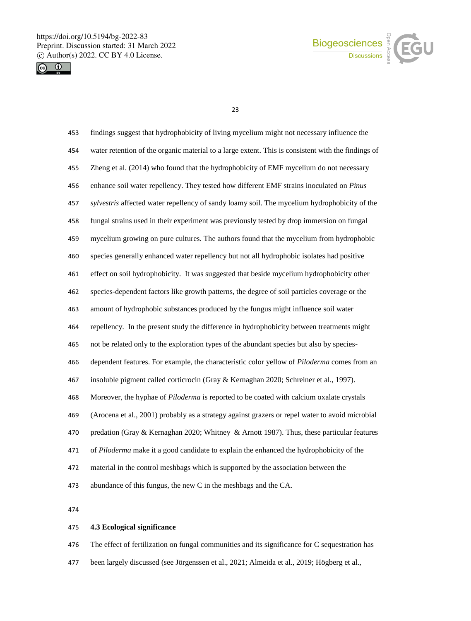



| 453 | findings suggest that hydrophobicity of living mycelium might not necessary influence the          |
|-----|----------------------------------------------------------------------------------------------------|
| 454 | water retention of the organic material to a large extent. This is consistent with the findings of |
| 455 | Zheng et al. (2014) who found that the hydrophobicity of EMF mycelium do not necessary             |
| 456 | enhance soil water repellency. They tested how different EMF strains inoculated on Pinus           |
| 457 | sylvestris affected water repellency of sandy loamy soil. The mycelium hydrophobicity of the       |
| 458 | fungal strains used in their experiment was previously tested by drop immersion on fungal          |
| 459 | mycelium growing on pure cultures. The authors found that the mycelium from hydrophobic            |
| 460 | species generally enhanced water repellency but not all hydrophobic isolates had positive          |
| 461 | effect on soil hydrophobicity. It was suggested that beside mycelium hydrophobicity other          |
| 462 | species-dependent factors like growth patterns, the degree of soil particles coverage or the       |
| 463 | amount of hydrophobic substances produced by the fungus might influence soil water                 |
| 464 | repellency. In the present study the difference in hydrophobicity between treatments might         |
| 465 | not be related only to the exploration types of the abundant species but also by species-          |
| 466 | dependent features. For example, the characteristic color yellow of <i>Piloderma</i> comes from an |
| 467 | insoluble pigment called corticrocin (Gray & Kernaghan 2020; Schreiner et al., 1997).              |
| 468 | Moreover, the hyphae of Piloderma is reported to be coated with calcium oxalate crystals           |
| 469 | (Arocena et al., 2001) probably as a strategy against grazers or repel water to avoid microbial    |
| 470 | predation (Gray & Kernaghan 2020; Whitney & Arnott 1987). Thus, these particular features          |
| 471 | of Piloderma make it a good candidate to explain the enhanced the hydrophobicity of the            |
| 472 | material in the control meshbags which is supported by the association between the                 |
| 473 | abundance of this fungus, the new C in the meshbags and the CA.                                    |
|     |                                                                                                    |

# **4.3 Ecological significance**

476 The effect of fertilization on fungal communities and its significance for C sequestration has been largely discussed (see Jörgenssen et al., 2021; Almeida et al., 2019; Högberg et al.,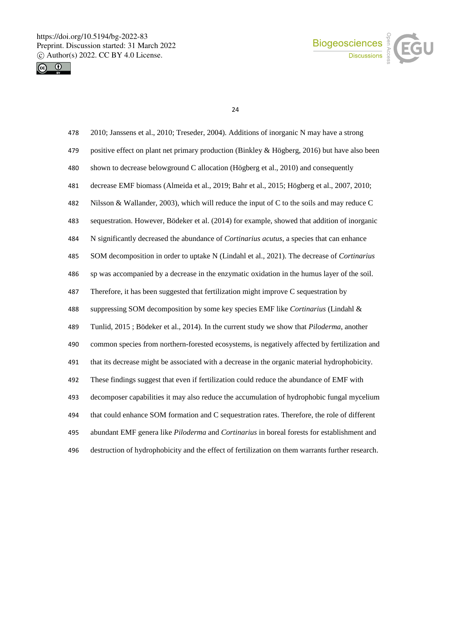



| 478 | 2010; Janssens et al., 2010; Treseder, 2004). Additions of inorganic N may have a strong          |
|-----|---------------------------------------------------------------------------------------------------|
| 479 | positive effect on plant net primary production (Binkley & Högberg, 2016) but have also been      |
| 480 | shown to decrease belowground C allocation (Högberg et al., 2010) and consequently                |
| 481 | decrease EMF biomass (Almeida et al., 2019; Bahr et al., 2015; Högberg et al., 2007, 2010;        |
| 482 | Nilsson & Wallander, 2003), which will reduce the input of C to the soils and may reduce C        |
| 483 | sequestration. However, Bödeker et al. (2014) for example, showed that addition of inorganic      |
| 484 | N significantly decreased the abundance of <i>Cortinarius acutus</i> , a species that can enhance |
| 485 | SOM decomposition in order to uptake N (Lindahl et al., 2021). The decrease of Cortinarius        |
| 486 | sp was accompanied by a decrease in the enzymatic oxidation in the humus layer of the soil.       |
| 487 | Therefore, it has been suggested that fertilization might improve C sequestration by              |
| 488 | suppressing SOM decomposition by some key species EMF like Cortinarius (Lindahl &                 |
| 489 | Tunlid, 2015; Bödeker et al., 2014). In the current study we show that <i>Piloderma</i> , another |
| 490 | common species from northern-forested ecosystems, is negatively affected by fertilization and     |
| 491 | that its decrease might be associated with a decrease in the organic material hydrophobicity.     |
| 492 | These findings suggest that even if fertilization could reduce the abundance of EMF with          |
| 493 | decomposer capabilities it may also reduce the accumulation of hydrophobic fungal mycelium        |
| 494 | that could enhance SOM formation and C sequestration rates. Therefore, the role of different      |
| 495 | abundant EMF genera like Piloderma and Cortinarius in boreal forests for establishment and        |
| 496 | destruction of hydrophobicity and the effect of fertilization on them warrants further research.  |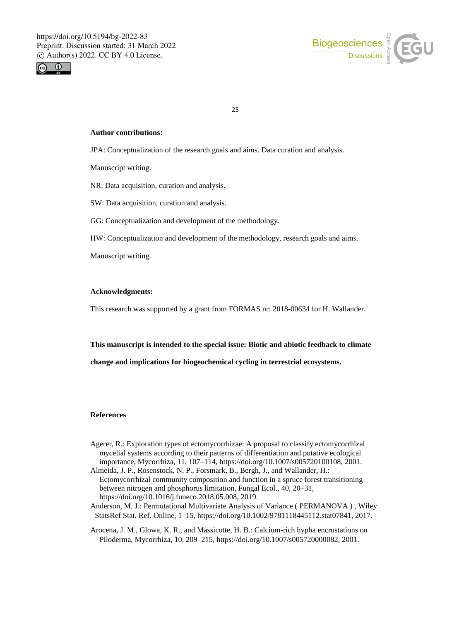



#### **Author contributions:**

JPA: Conceptualization of the research goals and aims. Data curation and analysis.

Manuscript writing.

NR: Data acquisition, curation and analysis.

SW: Data acquisition, curation and analysis.

GG: Conceptualization and development of the methodology.

HW: Conceptualization and development of the methodology, research goals and aims.

Manuscript writing.

### **Acknowledgments:**

This research was supported by a grant from FORMAS nr: 2018-00634 for H. Wallander.

**This manuscript is intended to the special issue: Biotic and abiotic feedback to climate** 

**change and implications for biogeochemical cycling in terrestrial ecosystems.**

## **References**

- Agerer, R.: Exploration types of ectomycorrhizae: A proposal to classify ectomycorrhizal mycelial systems according to their patterns of differentiation and putative ecological importance, Mycorrhiza, 11, 107–114, https://doi.org/10.1007/s005720100108, 2001.
- Almeida, J. P., Rosenstock, N. P., Forsmark, B., Bergh, J., and Wallander, H.: Ectomycorrhizal community composition and function in a spruce forest transitioning between nitrogen and phosphorus limitation, Fungal Ecol., 40, 20–31, https://doi.org/10.1016/j.funeco.2018.05.008, 2019.
- Anderson, M. J.: Permutational Multivariate Analysis of Variance ( PERMANOVA ) , Wiley StatsRef Stat. Ref. Online, 1–15, https://doi.org/10.1002/9781118445112.stat07841, 2017.
- Arocena, J. M., Glowa, K. R., and Massicotte, H. B.: Calcium-rich hypha encrustations on Piloderma, Mycorrhiza, 10, 209–215, https://doi.org/10.1007/s005720000082, 2001.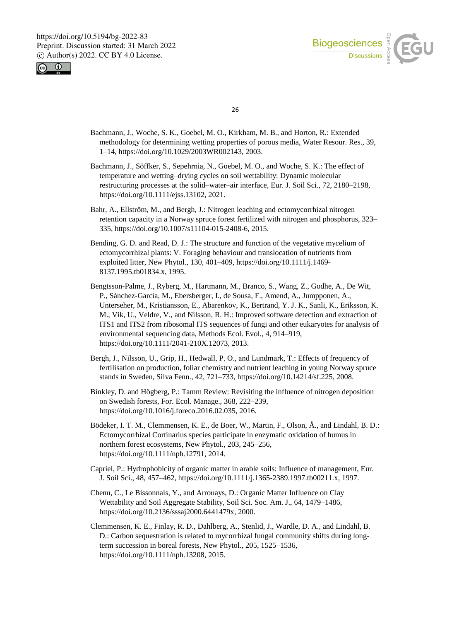



- Bachmann, J., Woche, S. K., Goebel, M. O., Kirkham, M. B., and Horton, R.: Extended methodology for determining wetting properties of porous media, Water Resour. Res., 39, 1–14, https://doi.org/10.1029/2003WR002143, 2003.
- Bachmann, J., Söffker, S., Sepehrnia, N., Goebel, M. O., and Woche, S. K.: The effect of temperature and wetting–drying cycles on soil wettability: Dynamic molecular restructuring processes at the solid–water–air interface, Eur. J. Soil Sci., 72, 2180–2198, https://doi.org/10.1111/ejss.13102, 2021.
- Bahr, A., Ellström, M., and Bergh, J.: Nitrogen leaching and ectomycorrhizal nitrogen retention capacity in a Norway spruce forest fertilized with nitrogen and phosphorus, 323– 335, https://doi.org/10.1007/s11104-015-2408-6, 2015.
- Bending, G. D. and Read, D. J.: The structure and function of the vegetative mycelium of ectomycorrhizal plants: V. Foraging behaviour and translocation of nutrients from exploited litter, New Phytol., 130, 401–409, https://doi.org/10.1111/j.1469- 8137.1995.tb01834.x, 1995.
- Bengtsson-Palme, J., Ryberg, M., Hartmann, M., Branco, S., Wang, Z., Godhe, A., De Wit, P., Sánchez-García, M., Ebersberger, I., de Sousa, F., Amend, A., Jumpponen, A., Unterseher, M., Kristiansson, E., Abarenkov, K., Bertrand, Y. J. K., Sanli, K., Eriksson, K. M., Vik, U., Veldre, V., and Nilsson, R. H.: Improved software detection and extraction of ITS1 and ITS2 from ribosomal ITS sequences of fungi and other eukaryotes for analysis of environmental sequencing data, Methods Ecol. Evol., 4, 914–919, https://doi.org/10.1111/2041-210X.12073, 2013.
- Bergh, J., Nilsson, U., Grip, H., Hedwall, P. O., and Lundmark, T.: Effects of frequency of fertilisation on production, foliar chemistry and nutrient leaching in young Norway spruce stands in Sweden, Silva Fenn., 42, 721–733, https://doi.org/10.14214/sf.225, 2008.
- Binkley, D. and Högberg, P.: Tamm Review: Revisiting the influence of nitrogen deposition on Swedish forests, For. Ecol. Manage., 368, 222–239, https://doi.org/10.1016/j.foreco.2016.02.035, 2016.
- Bödeker, I. T. M., Clemmensen, K. E., de Boer, W., Martin, F., Olson, Å., and Lindahl, B. D.: Ectomycorrhizal Cortinarius species participate in enzymatic oxidation of humus in northern forest ecosystems, New Phytol., 203, 245–256, https://doi.org/10.1111/nph.12791, 2014.
- Capriel, P.: Hydrophobicity of organic matter in arable soils: Influence of management, Eur. J. Soil Sci., 48, 457–462, https://doi.org/10.1111/j.1365-2389.1997.tb00211.x, 1997.
- Chenu, C., Le Bissonnais, Y., and Arrouays, D.: Organic Matter Influence on Clay Wettability and Soil Aggregate Stability, Soil Sci. Soc. Am. J., 64, 1479–1486, https://doi.org/10.2136/sssaj2000.6441479x, 2000.
- Clemmensen, K. E., Finlay, R. D., Dahlberg, A., Stenlid, J., Wardle, D. A., and Lindahl, B. D.: Carbon sequestration is related to mycorrhizal fungal community shifts during longterm succession in boreal forests, New Phytol., 205, 1525–1536, https://doi.org/10.1111/nph.13208, 2015.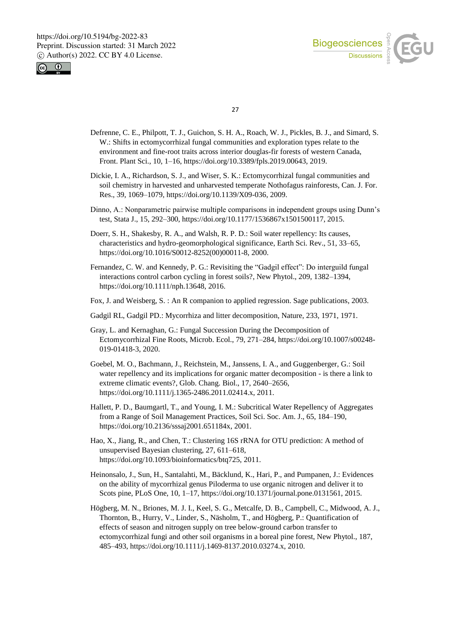



- Defrenne, C. E., Philpott, T. J., Guichon, S. H. A., Roach, W. J., Pickles, B. J., and Simard, S. W.: Shifts in ectomycorrhizal fungal communities and exploration types relate to the environment and fine-root traits across interior douglas-fir forests of western Canada, Front. Plant Sci., 10, 1–16, https://doi.org/10.3389/fpls.2019.00643, 2019.
- Dickie, I. A., Richardson, S. J., and Wiser, S. K.: Ectomycorrhizal fungal communities and soil chemistry in harvested and unharvested temperate Nothofagus rainforests, Can. J. For. Res., 39, 1069–1079, https://doi.org/10.1139/X09-036, 2009.
- Dinno, A.: Nonparametric pairwise multiple comparisons in independent groups using Dunn's test, Stata J., 15, 292–300, https://doi.org/10.1177/1536867x1501500117, 2015.
- Doerr, S. H., Shakesby, R. A., and Walsh, R. P. D.: Soil water repellency: Its causes, characteristics and hydro-geomorphological significance, Earth Sci. Rev., 51, 33–65, https://doi.org/10.1016/S0012-8252(00)00011-8, 2000.
- Fernandez, C. W. and Kennedy, P. G.: Revisiting the "Gadgil effect": Do interguild fungal interactions control carbon cycling in forest soils?, New Phytol., 209, 1382–1394, https://doi.org/10.1111/nph.13648, 2016.
- Fox, J. and Weisberg, S. : An R companion to applied regression. Sage publications, 2003.
- Gadgil RL, Gadgil PD.: Mycorrhiza and litter decomposition, Nature, 233, 1971, 1971.
- Gray, L. and Kernaghan, G.: Fungal Succession During the Decomposition of Ectomycorrhizal Fine Roots, Microb. Ecol., 79, 271–284, https://doi.org/10.1007/s00248- 019-01418-3, 2020.
- Goebel, M. O., Bachmann, J., Reichstein, M., Janssens, I. A., and Guggenberger, G.: Soil water repellency and its implications for organic matter decomposition - is there a link to extreme climatic events?, Glob. Chang. Biol., 17, 2640–2656, https://doi.org/10.1111/j.1365-2486.2011.02414.x, 2011.
- Hallett, P. D., Baumgartl, T., and Young, I. M.: Subcritical Water Repellency of Aggregates from a Range of Soil Management Practices, Soil Sci. Soc. Am. J., 65, 184–190, https://doi.org/10.2136/sssaj2001.651184x, 2001.
- Hao, X., Jiang, R., and Chen, T.: Clustering 16S rRNA for OTU prediction: A method of unsupervised Bayesian clustering, 27, 611–618, https://doi.org/10.1093/bioinformatics/btq725, 2011.
- Heinonsalo, J., Sun, H., Santalahti, M., Bäcklund, K., Hari, P., and Pumpanen, J.: Evidences on the ability of mycorrhizal genus Piloderma to use organic nitrogen and deliver it to Scots pine, PLoS One, 10, 1–17, https://doi.org/10.1371/journal.pone.0131561, 2015.
- Högberg, M. N., Briones, M. J. I., Keel, S. G., Metcalfe, D. B., Campbell, C., Midwood, A. J., Thornton, B., Hurry, V., Linder, S., Näsholm, T., and Högberg, P.: Quantification of effects of season and nitrogen supply on tree below-ground carbon transfer to ectomycorrhizal fungi and other soil organisms in a boreal pine forest, New Phytol., 187, 485–493, https://doi.org/10.1111/j.1469-8137.2010.03274.x, 2010.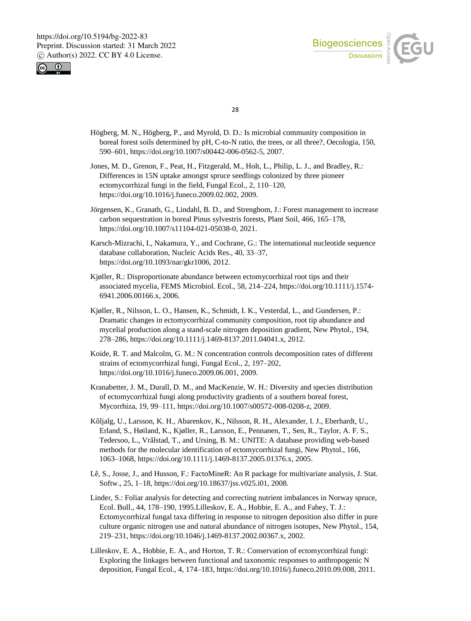



- Högberg, M. N., Högberg, P., and Myrold, D. D.: Is microbial community composition in boreal forest soils determined by pH, C-to-N ratio, the trees, or all three?, Oecologia, 150, 590–601, https://doi.org/10.1007/s00442-006-0562-5, 2007.
- Jones, M. D., Grenon, F., Peat, H., Fitzgerald, M., Holt, L., Philip, L. J., and Bradley, R.: Differences in 15N uptake amongst spruce seedlings colonized by three pioneer ectomycorrhizal fungi in the field, Fungal Ecol., 2, 110–120, https://doi.org/10.1016/j.funeco.2009.02.002, 2009.
- Jörgensen, K., Granath, G., Lindahl, B. D., and Strengbom, J.: Forest management to increase carbon sequestration in boreal Pinus sylvestris forests, Plant Soil, 466, 165–178, https://doi.org/10.1007/s11104-021-05038-0, 2021.
- Karsch-Mizrachi, I., Nakamura, Y., and Cochrane, G.: The international nucleotide sequence database collaboration, Nucleic Acids Res., 40, 33–37, https://doi.org/10.1093/nar/gkr1006, 2012.
- Kjøller, R.: Disproportionate abundance between ectomycorrhizal root tips and their associated mycelia, FEMS Microbiol. Ecol., 58, 214–224, https://doi.org/10.1111/j.1574- 6941.2006.00166.x, 2006.
- Kjøller, R., Nilsson, L. O., Hansen, K., Schmidt, I. K., Vesterdal, L., and Gundersen, P.: Dramatic changes in ectomycorrhizal community composition, root tip abundance and mycelial production along a stand-scale nitrogen deposition gradient, New Phytol., 194, 278–286, https://doi.org/10.1111/j.1469-8137.2011.04041.x, 2012.
- Koide, R. T. and Malcolm, G. M.: N concentration controls decomposition rates of different strains of ectomycorrhizal fungi, Fungal Ecol., 2, 197–202, https://doi.org/10.1016/j.funeco.2009.06.001, 2009.
- Kranabetter, J. M., Durall, D. M., and MacKenzie, W. H.: Diversity and species distribution of ectomycorrhizal fungi along productivity gradients of a southern boreal forest, Mycorrhiza, 19, 99–111, https://doi.org/10.1007/s00572-008-0208-z, 2009.
- Kõljalg, U., Larsson, K. H., Abarenkov, K., Nilsson, R. H., Alexander, I. J., Eberhardt, U., Erland, S., Høiland, K., Kjøller, R., Larsson, E., Pennanen, T., Sen, R., Taylor, A. F. S., Tedersoo, L., Vrålstad, T., and Ursing, B. M.: UNITE: A database providing web-based methods for the molecular identification of ectomycorrhizal fungi, New Phytol., 166, 1063–1068, https://doi.org/10.1111/j.1469-8137.2005.01376.x, 2005.
- Lê, S., Josse, J., and Husson, F.: FactoMineR: An R package for multivariate analysis, J. Stat. Softw., 25, 1–18, https://doi.org/10.18637/jss.v025.i01, 2008.
- Linder, S.: Foliar analysis for detecting and correcting nutrient imbalances in Norway spruce, Ecol. Bull., 44, 178–190, 1995.Lilleskov, E. A., Hobbie, E. A., and Fahey, T. J.: Ectomycorrhizal fungal taxa differing in response to nitrogen deposition also differ in pure culture organic nitrogen use and natural abundance of nitrogen isotopes, New Phytol., 154, 219–231, https://doi.org/10.1046/j.1469-8137.2002.00367.x, 2002.
- Lilleskov, E. A., Hobbie, E. A., and Horton, T. R.: Conservation of ectomycorrhizal fungi: Exploring the linkages between functional and taxonomic responses to anthropogenic N deposition, Fungal Ecol., 4, 174–183, https://doi.org/10.1016/j.funeco.2010.09.008, 2011.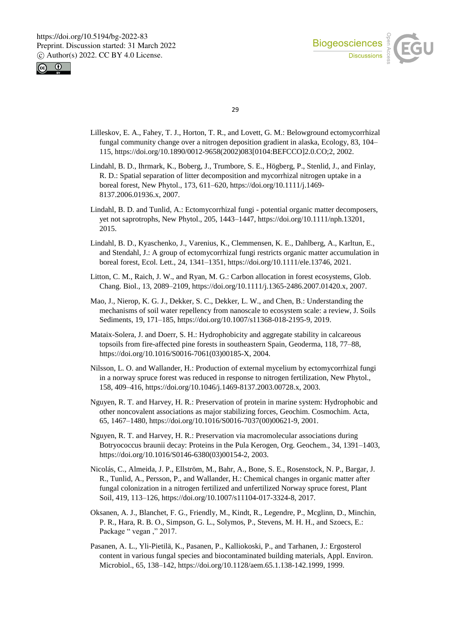



- Lilleskov, E. A., Fahey, T. J., Horton, T. R., and Lovett, G. M.: Belowground ectomycorrhizal fungal community change over a nitrogen deposition gradient in alaska, Ecology, 83, 104– 115, https://doi.org/10.1890/0012-9658(2002)083[0104:BEFCCO]2.0.CO;2, 2002.
- Lindahl, B. D., Ihrmark, K., Boberg, J., Trumbore, S. E., Högberg, P., Stenlid, J., and Finlay, R. D.: Spatial separation of litter decomposition and mycorrhizal nitrogen uptake in a boreal forest, New Phytol., 173, 611–620, https://doi.org/10.1111/j.1469- 8137.2006.01936.x, 2007.
- Lindahl, B. D. and Tunlid, A.: Ectomycorrhizal fungi potential organic matter decomposers, yet not saprotrophs, New Phytol., 205, 1443–1447, https://doi.org/10.1111/nph.13201, 2015.
- Lindahl, B. D., Kyaschenko, J., Varenius, K., Clemmensen, K. E., Dahlberg, A., Karltun, E., and Stendahl, J.: A group of ectomycorrhizal fungi restricts organic matter accumulation in boreal forest, Ecol. Lett., 24, 1341–1351, https://doi.org/10.1111/ele.13746, 2021.
- Litton, C. M., Raich, J. W., and Ryan, M. G.: Carbon allocation in forest ecosystems, Glob. Chang. Biol., 13, 2089–2109, https://doi.org/10.1111/j.1365-2486.2007.01420.x, 2007.
- Mao, J., Nierop, K. G. J., Dekker, S. C., Dekker, L. W., and Chen, B.: Understanding the mechanisms of soil water repellency from nanoscale to ecosystem scale: a review, J. Soils Sediments, 19, 171–185, https://doi.org/10.1007/s11368-018-2195-9, 2019.
- Mataix-Solera, J. and Doerr, S. H.: Hydrophobicity and aggregate stability in calcareous topsoils from fire-affected pine forests in southeastern Spain, Geoderma, 118, 77–88, https://doi.org/10.1016/S0016-7061(03)00185-X, 2004.
- Nilsson, L. O. and Wallander, H.: Production of external mycelium by ectomycorrhizal fungi in a norway spruce forest was reduced in response to nitrogen fertilization, New Phytol., 158, 409–416, https://doi.org/10.1046/j.1469-8137.2003.00728.x, 2003.
- Nguyen, R. T. and Harvey, H. R.: Preservation of protein in marine system: Hydrophobic and other noncovalent associations as major stabilizing forces, Geochim. Cosmochim. Acta, 65, 1467–1480, https://doi.org/10.1016/S0016-7037(00)00621-9, 2001.
- Nguyen, R. T. and Harvey, H. R.: Preservation via macromolecular associations during Botryococcus braunii decay: Proteins in the Pula Kerogen, Org. Geochem., 34, 1391–1403, https://doi.org/10.1016/S0146-6380(03)00154-2, 2003.
- Nicolás, C., Almeida, J. P., Ellström, M., Bahr, A., Bone, S. E., Rosenstock, N. P., Bargar, J. R., Tunlid, A., Persson, P., and Wallander, H.: Chemical changes in organic matter after fungal colonization in a nitrogen fertilized and unfertilized Norway spruce forest, Plant Soil, 419, 113–126, https://doi.org/10.1007/s11104-017-3324-8, 2017.
- Oksanen, A. J., Blanchet, F. G., Friendly, M., Kindt, R., Legendre, P., Mcglinn, D., Minchin, P. R., Hara, R. B. O., Simpson, G. L., Solymos, P., Stevens, M. H. H., and Szoecs, E.: Package " vegan ," 2017.
- Pasanen, A. L., Yli-Pietilä, K., Pasanen, P., Kalliokoski, P., and Tarhanen, J.: Ergosterol content in various fungal species and biocontaminated building materials, Appl. Environ. Microbiol., 65, 138–142, https://doi.org/10.1128/aem.65.1.138-142.1999, 1999.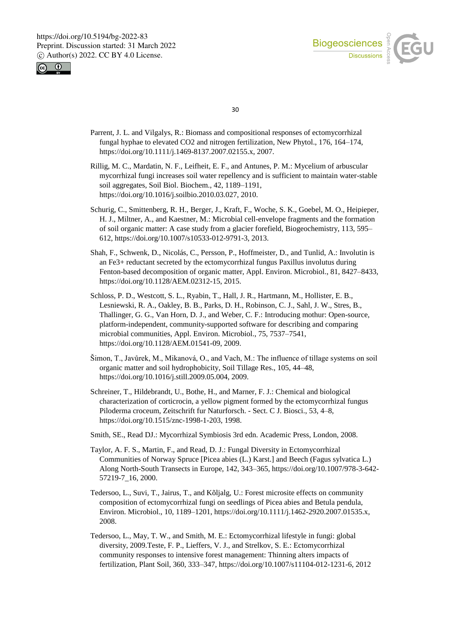



- Parrent, J. L. and Vilgalys, R.: Biomass and compositional responses of ectomycorrhizal fungal hyphae to elevated CO2 and nitrogen fertilization, New Phytol., 176, 164–174, https://doi.org/10.1111/j.1469-8137.2007.02155.x, 2007.
- Rillig, M. C., Mardatin, N. F., Leifheit, E. F., and Antunes, P. M.: Mycelium of arbuscular mycorrhizal fungi increases soil water repellency and is sufficient to maintain water-stable soil aggregates, Soil Biol. Biochem., 42, 1189–1191, https://doi.org/10.1016/j.soilbio.2010.03.027, 2010.
- Schurig, C., Smittenberg, R. H., Berger, J., Kraft, F., Woche, S. K., Goebel, M. O., Heipieper, H. J., Miltner, A., and Kaestner, M.: Microbial cell-envelope fragments and the formation of soil organic matter: A case study from a glacier forefield, Biogeochemistry, 113, 595– 612, https://doi.org/10.1007/s10533-012-9791-3, 2013.
- Shah, F., Schwenk, D., Nicolás, C., Persson, P., Hoffmeister, D., and Tunlid, A.: Involutin is an Fe3+ reductant secreted by the ectomycorrhizal fungus Paxillus involutus during Fenton-based decomposition of organic matter, Appl. Environ. Microbiol., 81, 8427–8433, https://doi.org/10.1128/AEM.02312-15, 2015.
- Schloss, P. D., Westcott, S. L., Ryabin, T., Hall, J. R., Hartmann, M., Hollister, E. B., Lesniewski, R. A., Oakley, B. B., Parks, D. H., Robinson, C. J., Sahl, J. W., Stres, B., Thallinger, G. G., Van Horn, D. J., and Weber, C. F.: Introducing mothur: Open-source, platform-independent, community-supported software for describing and comparing microbial communities, Appl. Environ. Microbiol., 75, 7537–7541, https://doi.org/10.1128/AEM.01541-09, 2009.
- Šimon, T., Javůrek, M., Mikanová, O., and Vach, M.: The influence of tillage systems on soil organic matter and soil hydrophobicity, Soil Tillage Res., 105, 44–48, https://doi.org/10.1016/j.still.2009.05.004, 2009.
- Schreiner, T., Hildebrandt, U., Bothe, H., and Marner, F. J.: Chemical and biological characterization of corticrocin, a yellow pigment formed by the ectomycorrhizal fungus Piloderma croceum, Zeitschrift fur Naturforsch. - Sect. C J. Biosci., 53, 4–8, https://doi.org/10.1515/znc-1998-1-203, 1998.
- Smith, SE., Read DJ.: Mycorrhizal Symbiosis 3rd edn. Academic Press, London, 2008.
- Taylor, A. F. S., Martin, F., and Read, D. J.: Fungal Diversity in Ectomycorrhizal Communities of Norway Spruce [Picea abies (L.) Karst.] and Beech (Fagus sylvatica L.) Along North-South Transects in Europe, 142, 343–365, https://doi.org/10.1007/978-3-642- 57219-7\_16, 2000.
- Tedersoo, L., Suvi, T., Jairus, T., and Kõljalg, U.: Forest microsite effects on community composition of ectomycorrhizal fungi on seedlings of Picea abies and Betula pendula, Environ. Microbiol., 10, 1189–1201, https://doi.org/10.1111/j.1462-2920.2007.01535.x, 2008.
- Tedersoo, L., May, T. W., and Smith, M. E.: Ectomycorrhizal lifestyle in fungi: global diversity, 2009.Teste, F. P., Lieffers, V. J., and Strelkov, S. E.: Ectomycorrhizal community responses to intensive forest management: Thinning alters impacts of fertilization, Plant Soil, 360, 333–347, https://doi.org/10.1007/s11104-012-1231-6, 2012